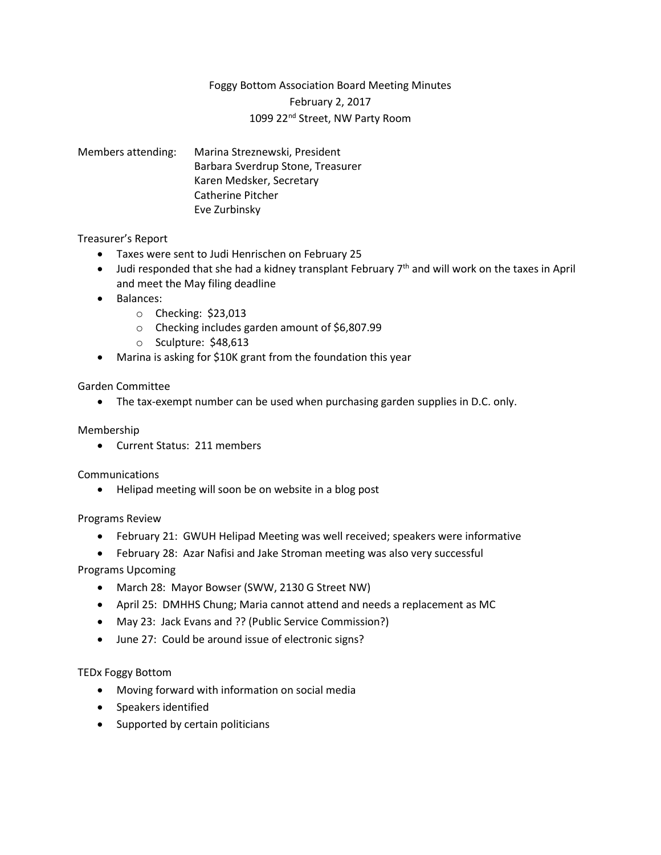# Foggy Bottom Association Board Meeting Minutes

February 2, 2017

# 1099 22nd Street, NW Party Room

Members attending: Marina Streznewski, President Barbara Sverdrup Stone, Treasurer Karen Medsker, Secretary Catherine Pitcher Eve Zurbinsky

## Treasurer's Report

- Taxes were sent to Judi Henrischen on February 25
- Judi responded that she had a kidney transplant February  $7<sup>th</sup>$  and will work on the taxes in April and meet the May filing deadline
- Balances:
	- o Checking: \$23,013
	- o Checking includes garden amount of \$6,807.99
	- o Sculpture: \$48,613
- Marina is asking for \$10K grant from the foundation this year

## Garden Committee

• The tax-exempt number can be used when purchasing garden supplies in D.C. only.

#### Membership

• Current Status: 211 members

#### **Communications**

• Helipad meeting will soon be on website in a blog post

#### Programs Review

- February 21: GWUH Helipad Meeting was well received; speakers were informative
- February 28: Azar Nafisi and Jake Stroman meeting was also very successful

Programs Upcoming

- March 28: Mayor Bowser (SWW, 2130 G Street NW)
- April 25: DMHHS Chung; Maria cannot attend and needs a replacement as MC
- May 23: Jack Evans and ?? (Public Service Commission?)
- June 27: Could be around issue of electronic signs?

#### TEDx Foggy Bottom

- Moving forward with information on social media
- Speakers identified
- Supported by certain politicians